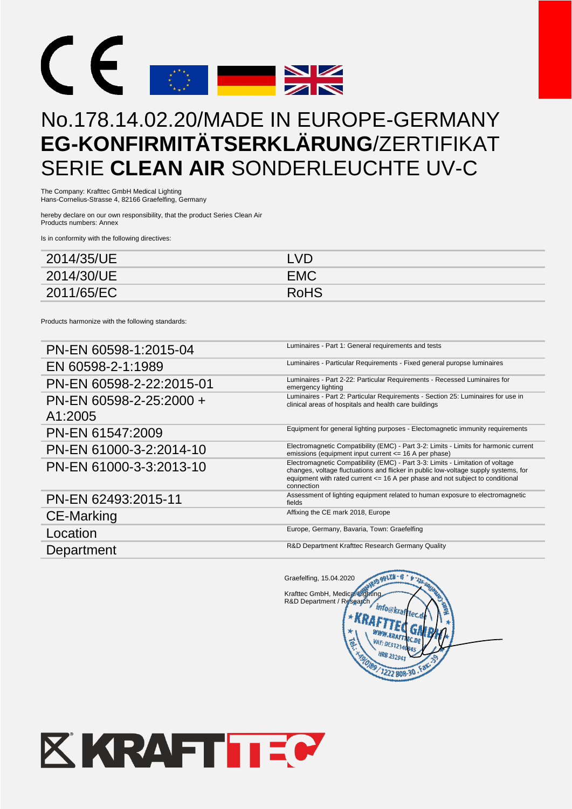

## No.178.14.02.20/MADE IN EUROPE-GERMANY **EG-KONFIRMITÄTSERKLÄRUNG**/ZERTIFIKAT SERIE **CLEAN AIR** SONDERLEUCHTE UV-C

The Company: Krafttec GmbH Medical Lighting Hans-Cornelius-Strasse 4, 82166 Graefelfing, Germany

hereby declare on our own responsibility, that the product Series Clean Air Products numbers: Annex

Is in conformity with the following directives:

| 2014/35/UE | LVD.        |
|------------|-------------|
| 2014/30/UE | <b>EMC</b>  |
| 2011/65/EC | <b>RoHS</b> |

Products harmonize with the following standards:

| PN-EN 60598-1:2015-04              | Luminaires - Part 1: General requirements and tests                                                                                                                                                                                                                      |
|------------------------------------|--------------------------------------------------------------------------------------------------------------------------------------------------------------------------------------------------------------------------------------------------------------------------|
| EN 60598-2-1:1989                  | Luminaires - Particular Requirements - Fixed general puropse luminaires                                                                                                                                                                                                  |
| PN-EN 60598-2-22:2015-01           | Luminaires - Part 2-22: Particular Requirements - Recessed Luminaires for<br>emergency lighting                                                                                                                                                                          |
| PN-EN 60598-2-25:2000 +<br>A1:2005 | Luminaires - Part 2: Particular Requirements - Section 25: Luminaires for use in<br>clinical areas of hospitals and health care buildings                                                                                                                                |
| PN-EN 61547:2009                   | Equipment for general lighting purposes - Electomagnetic immunity requirements                                                                                                                                                                                           |
| PN-EN 61000-3-2:2014-10            | Electromagnetic Compatibility (EMC) - Part 3-2: Limits - Limits for harmonic current<br>emissions (equipment input current <= 16 A per phase)                                                                                                                            |
| PN-EN 61000-3-3:2013-10            | Electromagnetic Compatibility (EMC) - Part 3-3: Limits - Limitation of voltage<br>changes, voltage fluctuations and flicker in public low-voltage supply systems, for<br>equipment with rated current $\leq$ 16 A per phase and not subject to conditional<br>connection |
| PN-EN 62493:2015-11                | Assessment of lighting equipment related to human exposure to electromagnetic<br>fields                                                                                                                                                                                  |
| <b>CE-Marking</b>                  | Affixing the CE mark 2018, Europe                                                                                                                                                                                                                                        |
| Location                           | Europe, Germany, Bavaria, Town: Graefelfing                                                                                                                                                                                                                              |
| Department                         | R&D Department Krafttec Research Germany Quality                                                                                                                                                                                                                         |

RID 99128 - 0 Graefelfing, 15.04.2020 Krafttec GmbH, Medical Lighting R&D Department / Research 'info@krat G 7222 808-3